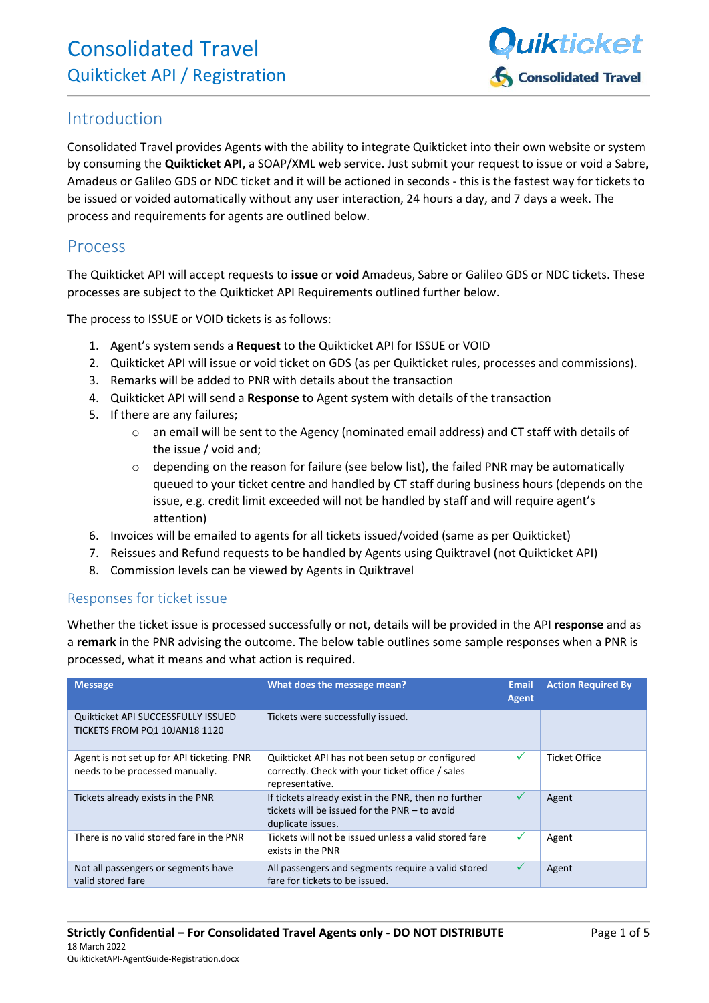

## Introduction

Consolidated Travel provides Agents with the ability to integrate Quikticket into their own website or system by consuming the **Quikticket API**, a SOAP/XML web service. Just submit your request to issue or void a Sabre, Amadeus or Galileo GDS or NDC ticket and it will be actioned in seconds - this is the fastest way for tickets to be issued or voided automatically without any user interaction, 24 hours a day, and 7 days a week. The process and requirements for agents are outlined below.

### Process

The Quikticket API will accept requests to **issue** or **void** Amadeus, Sabre or Galileo GDS or NDC tickets. These processes are subject to the [Quikticket API Requirements](#page-3-0) outlined further below.

The process to ISSUE or VOID tickets is as follows:

- 1. Agent's system sends a **Request** to the Quikticket API for ISSUE or VOID
- 2. Quikticket API will issue or void ticket on GDS (as per Quikticket rules, processes and commissions).
- 3. Remarks will be added to PNR with details about the transaction
- 4. Quikticket API will send a **Response** to Agent system with details of the transaction
- 5. If there are any failures;
	- o an email will be sent to the Agency (nominated email address) and CT staff with details of the issue / void and;
	- $\circ$  depending on the reason for failure (see below list), the failed PNR may be automatically queued to your ticket centre and handled by CT staff during business hours (depends on the issue, e.g. credit limit exceeded will not be handled by staff and will require agent's attention)
- 6. Invoices will be emailed to agents for all tickets issued/voided (same as per Quikticket)
- 7. Reissues and Refund requests to be handled by Agents using Quiktravel (not Quikticket API)
- 8. Commission levels can be viewed by Agents in Quiktravel

#### Responses for ticket issue

Whether the ticket issue is processed successfully or not, details will be provided in the API **response** and as a **remark** in the PNR advising the outcome. The below table outlines some sample responses when a PNR is processed, what it means and what action is required.

| <b>Message</b>                                                                | What does the message mean?                                                                                                | <b>Email</b><br><b>Agent</b> | <b>Action Required By</b> |
|-------------------------------------------------------------------------------|----------------------------------------------------------------------------------------------------------------------------|------------------------------|---------------------------|
| Quikticket API SUCCESSFULLY ISSUED<br>TICKETS FROM PO1 10JAN18 1120           | Tickets were successfully issued.                                                                                          |                              |                           |
| Agent is not set up for API ticketing. PNR<br>needs to be processed manually. | Quikticket API has not been setup or configured<br>correctly. Check with your ticket office / sales<br>representative.     | $\checkmark$                 | Ticket Office             |
| Tickets already exists in the PNR                                             | If tickets already exist in the PNR, then no further<br>tickets will be issued for the PNR - to avoid<br>duplicate issues. | ✓                            | Agent                     |
| There is no valid stored fare in the PNR                                      | Tickets will not be issued unless a valid stored fare<br>exists in the PNR                                                 | ✓                            | Agent                     |
| Not all passengers or segments have<br>valid stored fare                      | All passengers and segments require a valid stored<br>fare for tickets to be issued.                                       | ✓                            | Agent                     |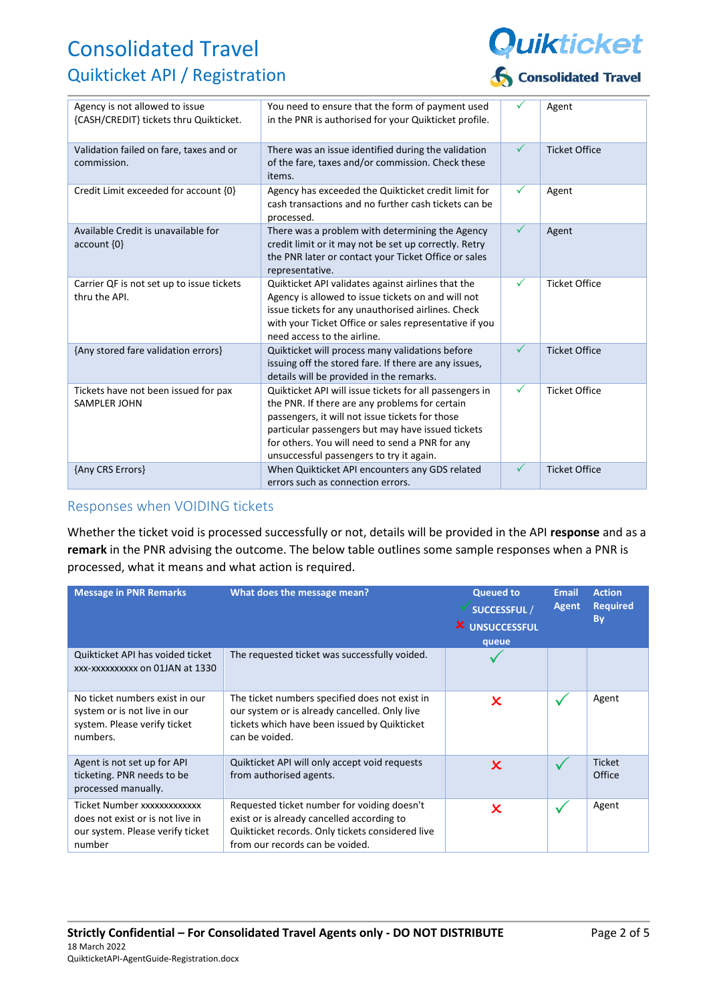

| Agency is not allowed to issue<br>{CASH/CREDIT} tickets thru Quikticket. | You need to ensure that the form of payment used<br>in the PNR is authorised for your Quikticket profile.                                                                                                                                                                                                        | ✓            | Agent                |
|--------------------------------------------------------------------------|------------------------------------------------------------------------------------------------------------------------------------------------------------------------------------------------------------------------------------------------------------------------------------------------------------------|--------------|----------------------|
| Validation failed on fare, taxes and or<br>commission.                   | There was an issue identified during the validation<br>of the fare, taxes and/or commission. Check these<br>items.                                                                                                                                                                                               | $\checkmark$ | <b>Ticket Office</b> |
| Credit Limit exceeded for account {0}                                    | Agency has exceeded the Quikticket credit limit for<br>cash transactions and no further cash tickets can be<br>processed.                                                                                                                                                                                        | $\checkmark$ | Agent                |
| Available Credit is unavailable for<br>$account \{0\}$                   | There was a problem with determining the Agency<br>credit limit or it may not be set up correctly. Retry<br>the PNR later or contact your Ticket Office or sales<br>representative.                                                                                                                              | $\checkmark$ | Agent                |
| Carrier QF is not set up to issue tickets<br>thru the API.               | Quikticket API validates against airlines that the<br>Agency is allowed to issue tickets on and will not<br>issue tickets for any unauthorised airlines. Check<br>with your Ticket Office or sales representative if you<br>need access to the airline.                                                          | ✓            | <b>Ticket Office</b> |
| {Any stored fare validation errors}                                      | Quikticket will process many validations before<br>issuing off the stored fare. If there are any issues,<br>details will be provided in the remarks.                                                                                                                                                             | $\checkmark$ | <b>Ticket Office</b> |
| Tickets have not been issued for pax<br><b>SAMPLER JOHN</b>              | Quikticket API will issue tickets for all passengers in<br>the PNR. If there are any problems for certain<br>passengers, it will not issue tickets for those<br>particular passengers but may have issued tickets<br>for others. You will need to send a PNR for any<br>unsuccessful passengers to try it again. | $\checkmark$ | <b>Ticket Office</b> |
| {Any CRS Errors}                                                         | When Quikticket API encounters any GDS related<br>errors such as connection errors.                                                                                                                                                                                                                              | $\checkmark$ | <b>Ticket Office</b> |

#### Responses when VOIDING tickets

Whether the ticket void is processed successfully or not, details will be provided in the API **response** and as a **remark** in the PNR advising the outcome. The below table outlines some sample responses when a PNR is processed, what it means and what action is required.

| <b>Message in PNR Remarks</b>                                                                                 | What does the message mean?                                                                                                                                                      | <b>Queued to</b><br><b>SUCCESSFUL /</b><br><b>X</b> UNSUCCESSFUL<br>queue | <b>Email</b><br><b>Agent</b> | <b>Action</b><br><b>Required</b><br><b>By</b> |
|---------------------------------------------------------------------------------------------------------------|----------------------------------------------------------------------------------------------------------------------------------------------------------------------------------|---------------------------------------------------------------------------|------------------------------|-----------------------------------------------|
| Quikticket API has voided ticket<br>xxx-xxxxxxxxxx on 01JAN at 1330                                           | The requested ticket was successfully voided.                                                                                                                                    |                                                                           |                              |                                               |
| No ticket numbers exist in our<br>system or is not live in our<br>system. Please verify ticket<br>numbers.    | The ticket numbers specified does not exist in<br>our system or is already cancelled. Only live<br>tickets which have been issued by Quikticket<br>can be voided.                | $\boldsymbol{\mathsf{x}}$                                                 |                              | Agent                                         |
| Agent is not set up for API<br>ticketing. PNR needs to be<br>processed manually.                              | Quikticket API will only accept void requests<br>from authorised agents.                                                                                                         | $\mathbf x$                                                               |                              | <b>Ticket</b><br>Office                       |
| Ticket Number xxxxxxxxxxxxx<br>does not exist or is not live in<br>our system. Please verify ticket<br>number | Requested ticket number for voiding doesn't<br>exist or is already cancelled according to<br>Quikticket records. Only tickets considered live<br>from our records can be voided. | ×                                                                         |                              | Agent                                         |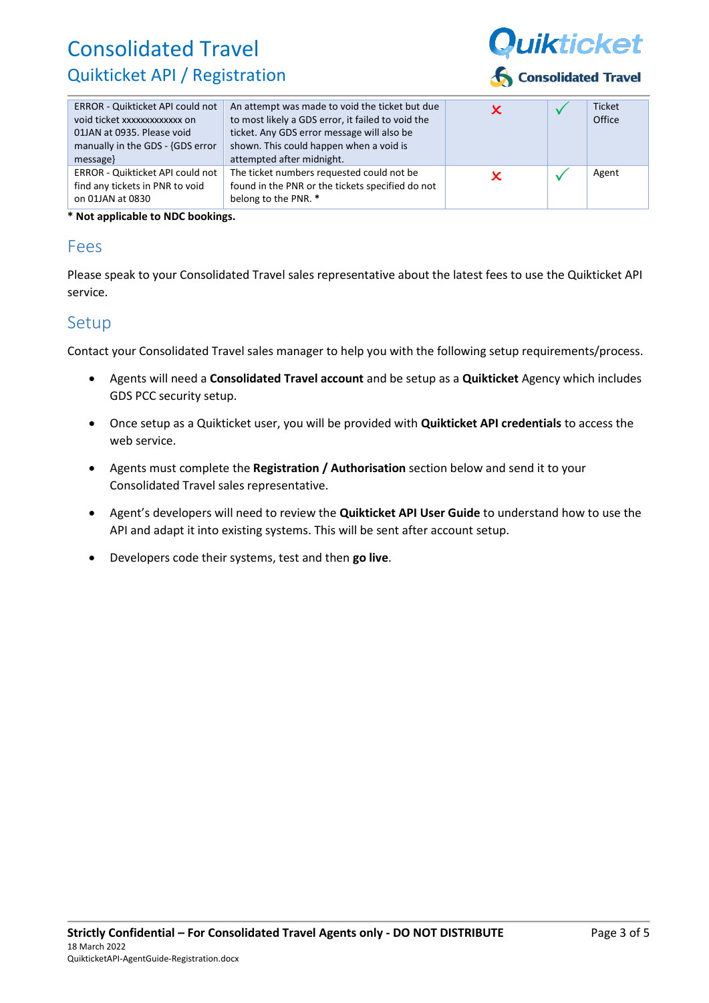

| ERROR - Quikticket API could not<br>void ticket xxxxxxxxxxxxx on<br>01JAN at 0935. Please void<br>manually in the GDS - {GDS error<br>message | An attempt was made to void the ticket but due<br>to most likely a GDS error, it failed to void the<br>ticket. Any GDS error message will also be<br>shown. This could happen when a void is<br>attempted after midnight. |  | <b>Ticket</b><br>Office |
|-----------------------------------------------------------------------------------------------------------------------------------------------|---------------------------------------------------------------------------------------------------------------------------------------------------------------------------------------------------------------------------|--|-------------------------|
| ERROR - Quikticket API could not<br>find any tickets in PNR to void<br>on 01JAN at 0830                                                       | The ticket numbers requested could not be<br>found in the PNR or the tickets specified do not<br>belong to the PNR. *                                                                                                     |  | Agent                   |

**\* Not applicable to NDC bookings.**

### Fees

Please speak to your Consolidated Travel sales representative about the latest fees to use the Quikticket API service.

## Setup

Contact your Consolidated Travel sales manager to help you with the following setup requirements/process.

- Agents will need a **Consolidated Travel account** and be setup as a **Quikticket** Agency which includes GDS PCC security setup.
- Once setup as a Quikticket user, you will be provided with **Quikticket API credentials** to access the web service.
- Agents must complete the **Registration / Authorisation** section below and send it to your Consolidated Travel sales representative.
- Agent's developers will need to review the **Quikticket API User Guide** to understand how to use the API and adapt it into existing systems. This will be sent after account setup.
- Developers code their systems, test and then **go live**.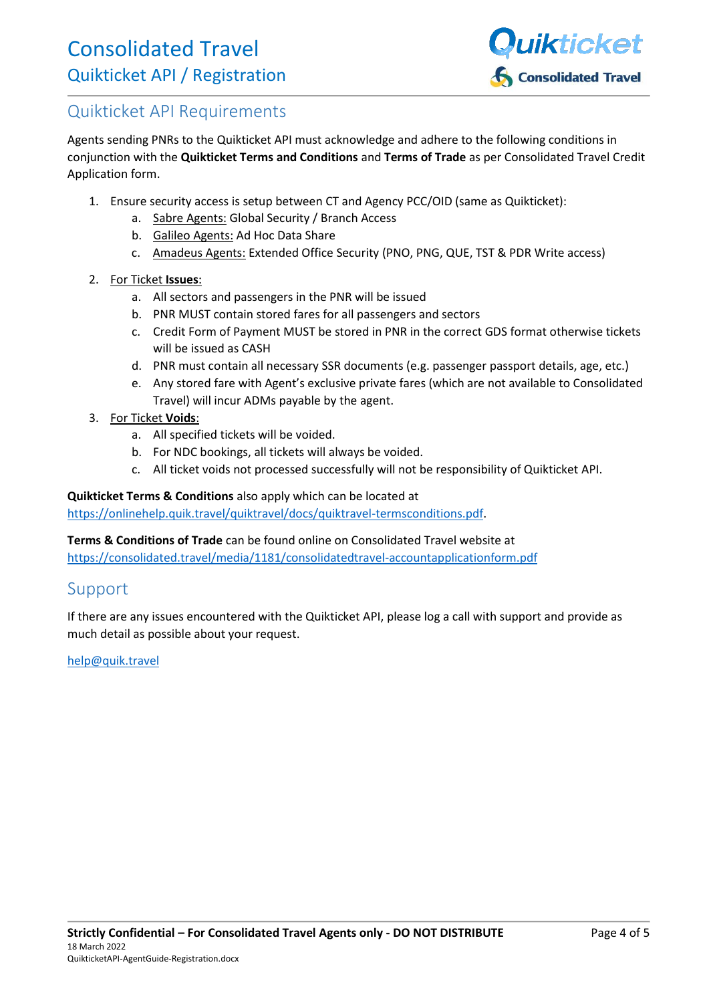

## <span id="page-3-0"></span>Quikticket API Requirements

Agents sending PNRs to the Quikticket API must acknowledge and adhere to the following conditions in conjunction with the **Quikticket Terms and Conditions** and **Terms of Trade** as per Consolidated Travel Credit Application form.

- 1. Ensure security access is setup between CT and Agency PCC/OID (same as Quikticket):
	- a. Sabre Agents: Global Security / Branch Access
	- b. Galileo Agents: Ad Hoc Data Share
	- c. Amadeus Agents: Extended Office Security (PNO, PNG, QUE, TST & PDR Write access)
- 2. For Ticket **Issues**:
	- a. All sectors and passengers in the PNR will be issued
	- b. PNR MUST contain stored fares for all passengers and sectors
	- c. Credit Form of Payment MUST be stored in PNR in the correct GDS format otherwise tickets will be issued as CASH
	- d. PNR must contain all necessary SSR documents (e.g. passenger passport details, age, etc.)
	- e. Any stored fare with Agent's exclusive private fares (which are not available to Consolidated Travel) will incur ADMs payable by the agent.
- 3. For Ticket **Voids**:
	- a. All specified tickets will be voided.
	- b. For NDC bookings, all tickets will always be voided.
	- c. All ticket voids not processed successfully will not be responsibility of Quikticket API.

**Quikticket Terms & Conditions** also apply which can be located at

[https://onlinehelp.quik.travel/quiktravel/docs/quiktravel-termsconditions.pdf.](https://onlinehelp.quik.travel/quiktravel/docs/quiktravel-termsconditions.pdf)

**Terms & Conditions of Trade** can be found online on Consolidated Travel website at <https://consolidated.travel/media/1181/consolidatedtravel-accountapplicationform.pdf>

## Support

If there are any issues encountered with the Quikticket API, please log a call with support and provide as much detail as possible about your request.

[help@quik.travel](mailto:help@quik.travel)